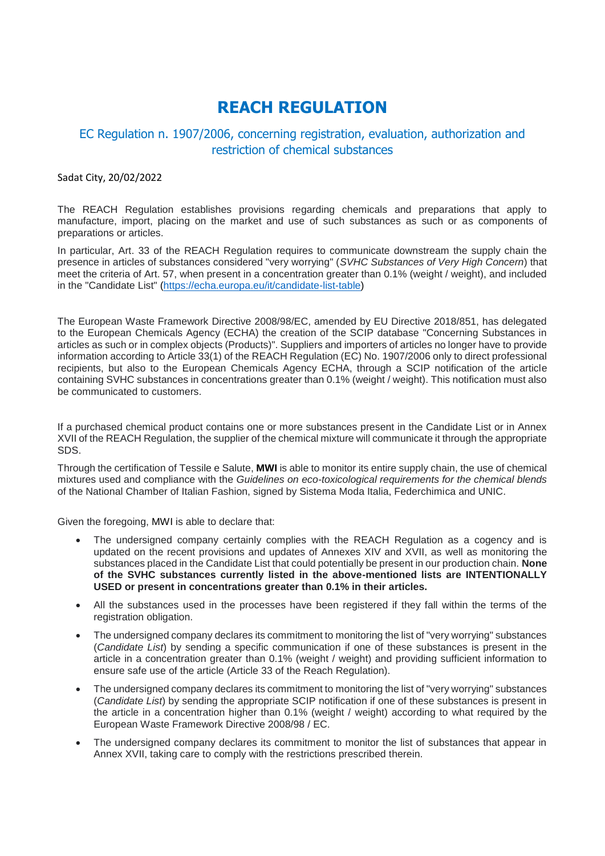## **REACH REGULATION**

## EC Regulation n. 1907/2006, concerning registration, evaluation, authorization and restriction of chemical substances

## Sadat City, 20/02/2022

The REACH Regulation establishes provisions regarding chemicals and preparations that apply to manufacture, import, placing on the market and use of such substances as such or as components of preparations or articles.

In particular, Art. 33 of the REACH Regulation requires to communicate downstream the supply chain the presence in articles of substances considered "very worrying" (*SVHC Substances of Very High Concern*) that meet the criteria of Art. 57, when present in a concentration greater than 0.1% (weight / weight), and included in the "Candidate List" [\(https://echa.europa.eu/it/candidate-list-table\)](https://echa.europa.eu/it/candidate-list-table)

The European Waste Framework Directive 2008/98/EC, amended by EU Directive 2018/851, has delegated to the European Chemicals Agency (ECHA) the creation of the SCIP database "Concerning Substances in articles as such or in complex objects (Products)". Suppliers and importers of articles no longer have to provide information according to Article 33(1) of the REACH Regulation (EC) No. 1907/2006 only to direct professional recipients, but also to the European Chemicals Agency ECHA, through a SCIP notification of the article containing SVHC substances in concentrations greater than 0.1% (weight / weight). This notification must also be communicated to customers.

If a purchased chemical product contains one or more substances present in the Candidate List or in Annex XVII of the REACH Regulation, the supplier of the chemical mixture will communicate it through the appropriate SDS.

Through the certification of Tessile e Salute, **MWI** is able to monitor its entire supply chain, the use of chemical mixtures used and compliance with the *Guidelines on eco-toxicological requirements for the chemical blends* of the National Chamber of Italian Fashion, signed by Sistema Moda Italia, Federchimica and UNIC.

Given the foregoing, MWI is able to declare that:

- The undersigned company certainly complies with the REACH Regulation as a cogency and is updated on the recent provisions and updates of Annexes XIV and XVII, as well as monitoring the substances placed in the Candidate List that could potentially be present in our production chain. **None of the SVHC substances currently listed in the above-mentioned lists are INTENTIONALLY USED or present in concentrations greater than 0.1% in their articles.**
- All the substances used in the processes have been registered if they fall within the terms of the registration obligation.
- The undersigned company declares its commitment to monitoring the list of "very worrying" substances (*Candidate List*) by sending a specific communication if one of these substances is present in the article in a concentration greater than 0.1% (weight / weight) and providing sufficient information to ensure safe use of the article (Article 33 of the Reach Regulation).
- The undersigned company declares its commitment to monitoring the list of "very worrying" substances (*Candidate List*) by sending the appropriate SCIP notification if one of these substances is present in the article in a concentration higher than 0.1% (weight / weight) according to what required by the European Waste Framework Directive 2008/98 / EC.
- The undersigned company declares its commitment to monitor the list of substances that appear in Annex XVII, taking care to comply with the restrictions prescribed therein.